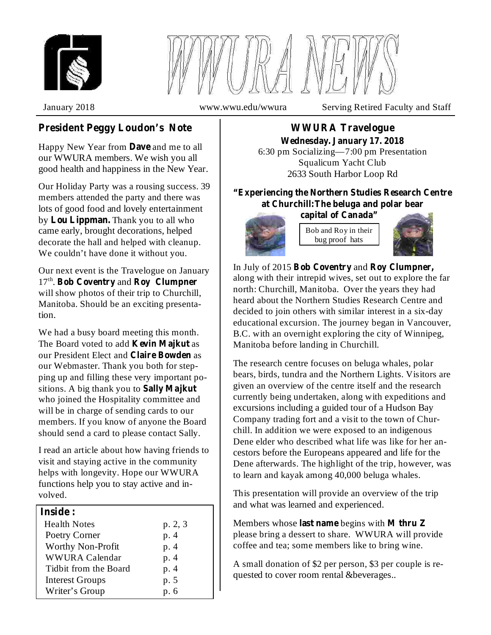



January 2018 www.wwu.edu/wwura Serving Retired Faculty and Staff

# **President Peggy Loudon's Note**

Happy New Year from **Dave** and me to all our WWURA members. We wish you all good health and happiness in the New Year.

Our Holiday Party was a rousing success. 39 members attended the party and there was lots of good food and lovely entertainment by Lou Lippman. Thank you to all who came early, brought decorations, helped decorate the hall and helped with cleanup. We couldn't have done it without you.

Our next event is the Travelogue on January 17<sup>th</sup>. Bob Coventry and Roy Clumpner will show photos of their trip to Churchill, Manitoba. Should be an exciting presentation.

We had a busy board meeting this month. The Board voted to add **Kevin Majkut** as our President Elect and Claire Bowden as our Webmaster. Thank you both for stepping up and filling these very important positions. A big thank you to **Sally Majkut** who joined the Hospitality committee and will be in charge of sending cards to our members. If you know of anyone the Board should send a card to please contact Sally.

I read an article about how having friends to visit and staying active in the community helps with longevity. Hope our WWURA functions help you to stay active and involved.

# **Inside :**

| <b>Health Notes</b>      | p. 2, 3 |
|--------------------------|---------|
| Poetry Corner            | p. 4    |
| <b>Worthy Non-Profit</b> | p. 4    |
| WWURA Calendar           | p. 4    |
| Tidbit from the Board    | p. 4    |
| <b>Interest Groups</b>   | p. 5    |
| Writer's Group           | p. 6    |

**WWURA Travelogue Wednesday. January 17. 2018**

6:30 pm Socializing—7:00 pm Presentation Squalicum Yacht Club 2633 South Harbor Loop Rd

**"Experiencing the Northern Studies Research Centre at Churchill:The beluga and polar bear**

Bob and Roy in their **capital of Canada"**

bug proof hats





In July of 2015 Bob Coventry and Roy Clumpner, along with their intrepid wives, set out to explore the far north: Churchill, Manitoba. Over the years they had heard about the Northern Studies Research Centre and decided to join others with similar interest in a six-day educational excursion. The journey began in Vancouver, B.C. with an overnight exploring the city of Winnipeg, Manitoba before landing in Churchill.

The research centre focuses on beluga whales, polar bears, birds, tundra and the Northern Lights. Visitors are given an overview of the centre itself and the research currently being undertaken, along with expeditions and excursions including a guided tour of a Hudson Bay Company trading fort and a visit to the town of Churchill. In addition we were exposed to an indigenous Dene elder who described what life was like for her ancestors before the Europeans appeared and life for the Dene afterwards. The highlight of the trip, however, was to learn and kayak among 40,000 beluga whales.

This presentation will provide an overview of the trip and what was learned and experienced.

Members whose last name begins with M thru Z please bring a dessert to share. WWURA will provide coffee and tea; some members like to bring wine.

A small donation of \$2 per person, \$3 per couple is requested to cover room rental &beverages..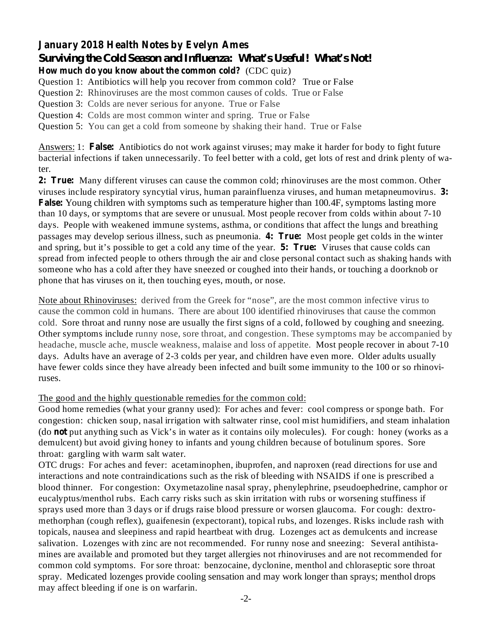### **January 2018 Health Notes by Evelyn Ames** *Surviving the Cold Season and Influenza: What's Useful! What's Not!*

**How much do you know about the common cold?** (CDC quiz)

Question 1: Antibiotics will help you recover from common cold? True or False

Question 2: Rhinoviruses are the most common causes of colds. True or False

Question 3: Colds are never serious for anyone. True or False

Question 4: Colds are most common winter and spring. True or False

Question 5: You can get a cold from someone by shaking their hand. True or False

Answers: 1: False: Antibiotics do not work against viruses; may make it harder for body to fight future bacterial infections if taken unnecessarily. To feel better with a cold, get lots of rest and drink plenty of water.

**2: True:** Many different viruses can cause the common cold; rhinoviruses are the most common. Other viruses include respiratory syncytial virus, human parainfluenza viruses, and human metapneumovirus. 3: False: Young children with symptoms such as temperature higher than 100.4F, symptoms lasting more passages may develop serious illness, such as pneumonia. 4: True: Most people get colds in the winter and spring, but it's possible to get a cold any time of the year. **5: True:** Viruses that cause colds can than 10 days, or symptoms that are severe or unusual. Most people recover from colds within about 7-10 days. People with weakened immune systems, asthma, or conditions that affect the lungs and breathing spread from infected people to others through the air and close personal contact such as shaking hands with someone who has a cold after they have sneezed or coughed into their hands, or touching a doorknob or phone that has viruses on it, then touching eyes, mouth, or nose.

Note about Rhinoviruses: derived from the Greek for "nose", are the most common infective virus to cause the common cold in humans. There are about 100 identified rhinoviruses that cause the common cold. Sore throat and runny nose are usually the first signs of a cold, followed by coughing and sneezing. Other symptoms include runny nose, sore throat, and congestion. These symptoms may be accompanied by headache, muscle ache, muscle weakness, malaise and loss of appetite. Most people recover in about 7-10 days. Adults have an average of 2-3 colds per year, and children have even more. Older adults usually have fewer colds since they have already been infected and built some immunity to the 100 or so rhinoviruses.

The good and the highly questionable remedies for the common cold:

**not** (do put anything such as Vick's in water as it contains oily molecules). For cough: honey (works as a Good home remedies (what your granny used): For aches and fever: cool compress or sponge bath. For congestion: chicken soup, nasal irrigation with saltwater rinse, cool mist humidifiers, and steam inhalation demulcent) but avoid giving honey to infants and young children because of botulinum spores. Sore throat: gargling with warm salt water.

OTC drugs: For aches and fever: acetaminophen, ibuprofen, and naproxen (read directions for use and interactions and note contraindications such as the risk of bleeding with NSAIDS if one is prescribed a blood thinner. For congestion: Oxymetazoline nasal spray, phenylephrine, pseudoephedrine, camphor or eucalyptus/menthol rubs. Each carry risks such as skin irritation with rubs or worsening stuffiness if sprays used more than 3 days or if drugs raise blood pressure or worsen glaucoma. For cough: dextromethorphan (cough reflex), guaifenesin (expectorant), topical rubs, and lozenges. Risks include rash with topicals, nausea and sleepiness and rapid heartbeat with drug. Lozenges act as demulcents and increase salivation. Lozenges with zinc are not recommended. For runny nose and sneezing: Several antihistamines are available and promoted but they target allergies not rhinoviruses and are not recommended for common cold symptoms. For sore throat: benzocaine, dyclonine, menthol and chloraseptic sore throat spray. Medicated lozenges provide cooling sensation and may work longer than sprays; menthol drops may affect bleeding if one is on warfarin.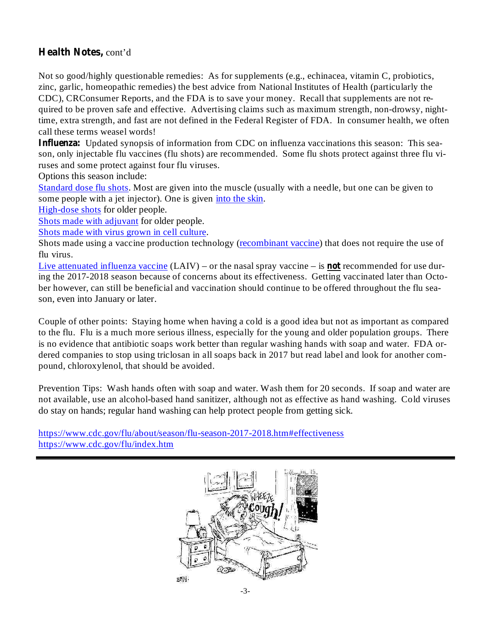# **Health Notes,** cont'd

Not so good/highly questionable remedies: As for supplements (e.g., echinacea, vitamin C, probiotics, zinc, garlic, homeopathic remedies) the best advice from National Institutes of Health (particularly the CDC), CRConsumer Reports, and the FDA is to save your money. Recall that supplements are not required to be proven safe and effective. Advertising claims such as maximum strength, non-drowsy, nighttime, extra strength, and fast are not defined in the Federal Register of FDA. In consumer health, we often call these terms weasel words!

Influenza: Updated synopsis of information from CDC on influenza vaccinations this season: This season, only injectable flu vaccines (flu shots) are recommended. Some flu shots protect against three flu viruses and some protect against four flu viruses.

Options this season include:

Standard dose flu shots. Most are given into the muscle (usually with a needle, but one can be given to some people with a jet injector). One is given into the skin.

High-dose shots for older people.

Shots made with adjuvant for older people.

Shots made with virus grown in cell culture.

Shots made using a vaccine production technology (recombinant vaccine) that does not require the use of flu virus.

Live attenuated influenza vaccine (LAIV) – or the nasal spray vaccine – is **not** recommended for use during the 2017-2018 season because of concerns about its effectiveness. Getting vaccinated later than October however, can still be beneficial and vaccination should continue to be offered throughout the flu season, even into January or later.

Couple of other points: Staying home when having a cold is a good idea but not as important as compared to the flu. Flu is a much more serious illness, especially for the young and older population groups. There is no evidence that antibiotic soaps work better than regular washing hands with soap and water. FDA ordered companies to stop using triclosan in all soaps back in 2017 but read label and look for another compound, chloroxylenol, that should be avoided.

Prevention Tips: Wash hands often with soap and water. Wash them for 20 seconds. If soap and water are not available, use an alcohol-based hand sanitizer, although not as effective as hand washing. Cold viruses do stay on hands; regular hand washing can help protect people from getting sick.

https://www.cdc.gov/flu/about/season/flu-season-2017-2018.htm#effectiveness https://www.cdc.gov/flu/index.htm

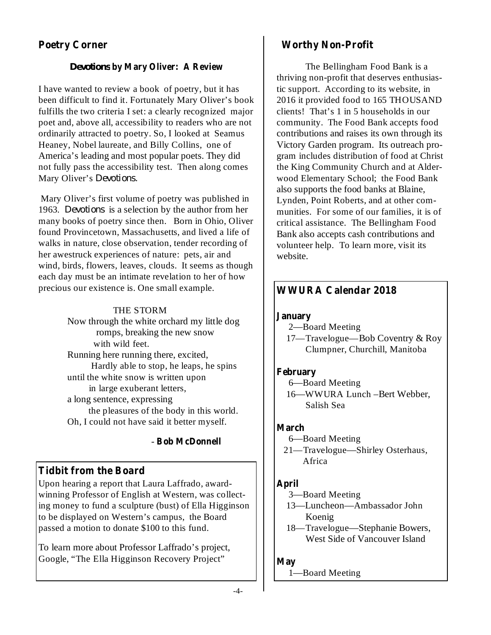# **Poetry Corner**

### **by Mary Oliver: A Review** *Devotions*

I have wanted to review a book of poetry, but it has been difficult to find it. Fortunately Mary Oliver's book fulfills the two criteria I set: a clearly recognized major poet and, above all, accessibility to readers who are not ordinarily attracted to poetry. So, I looked at Seamus Heaney, Nobel laureate, and Billy Collins, one of America's leading and most popular poets. They did not fully pass the accessibility test. Then along comes Mary Oliver's *Devotions.*

Mary Oliver's first volume of poetry was published in 1963. *Devotions* is a selection by the author from her many books of poetry since then. Born in Ohio, Oliver found Provincetown, Massachusetts, and lived a life of walks in nature, close observation, tender recording of her awestruck experiences of nature: pets, air and wind, birds, flowers, leaves, clouds. It seems as though each day must be an intimate revelation to her of how precious our existence is. One small example.

### THE STORM

Now through the white orchard my little dog romps, breaking the new snow with wild feet. Running here running there, excited, Hardly able to stop, he leaps, he spins until the white snow is written upon in large exuberant letters, a long sentence, expressing the pleasures of the body in this world. Oh, I could not have said it better myself.

#### **Bob McDonnell** -

# **Tidbit from the Board**

Upon hearing a report that Laura Laffrado, awardwinning Professor of English at Western, was collecting money to fund a sculpture (bust) of Ella Higginson to be displayed on Western's campus, the Board passed a motion to donate \$100 to this fund.

To learn more about Professor Laffrado's project, Google, "The Ella Higginson Recovery Project"

### **Worthy Non-Profit**

The Bellingham Food Bank is a thriving non-profit that deserves enthusiastic support. According to its website, in 2016 it provided food to 165 THOUSAND clients! That's 1 in 5 households in our community. The Food Bank accepts food contributions and raises its own through its Victory Garden program. Its outreach program includes distribution of food at Christ the King Community Church and at Alderwood Elementary School; the Food Bank also supports the food banks at Blaine, Lynden, Point Roberts, and at other communities. For some of our families, it is of critical assistance. The Bellingham Food Bank also accepts cash contributions and volunteer help. To learn more, visit its website.

### **WWURA Calendar 2018**

#### **January**

- 2—Board Meeting
- 17—Travelogue—Bob Coventry & Roy Clumpner, Churchill, Manitoba

#### **February**

- 6—Board Meeting
- 16—WWURA Lunch –Bert Webber, Salish Sea

#### **March**

- 6—Board Meeting
- 21—Travelogue—Shirley Osterhaus, Africa

### **April**

- 3—Board Meeting
- 13—Luncheon—Ambassador John Koenig
- 18—Travelogue—Stephanie Bowers, West Side of Vancouver Island

#### **May**

1—Board Meeting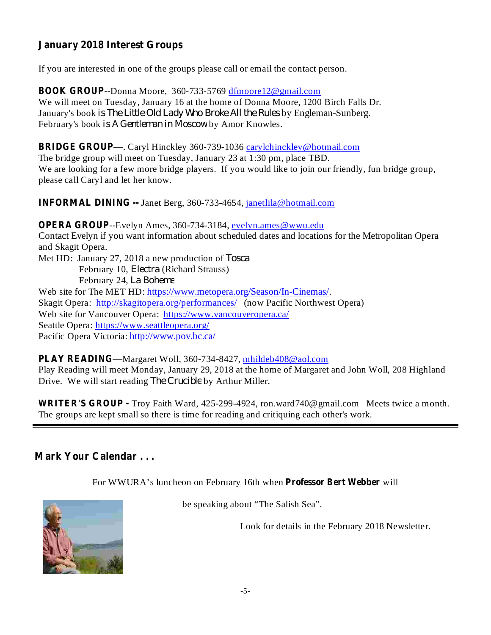# **January 2018 Interest Groups**

If you are interested in one of the groups please call or email the contact person.

**BOOK GROUP** --Donna Moore, 360-733-5769 dfmoore12@gmail.com We will meet on Tuesday, January 16 at the home of Donna Moore, 1200 Birch Falls Dr. January's book *is The Little Old Lady Who Broke All the Rules* by Engleman-Sunberg. February's book is A Gentleman in Moscow by Amor Knowles.

**BRIDGE GROUP** —. Caryl Hinckley 360-739-1036 carylchinckley@hotmail.com

The bridge group will meet on Tuesday, January 23 at 1:30 pm, place TBD. We are looking for a few more bridge players. If you would like to join our friendly, fun bridge group, please call Caryl and let her know.

**INFORMAL DINING --** Janet Berg, 360-733-4654, janetlila@hotmail.com

**OPERA GROUP** --Evelyn Ames, 360-734-3184, evelyn.ames@wwu.edu Contact Evelyn if you want information about scheduled dates and locations for the Metropolitan Opera and Skagit Opera. Met HD: January 27, 2018 a new production of *Tosca* February 10, *Electra* (Richard Strauss) February 24, *La Boheme* Web site for The MET HD: https://www.metopera.org/Season/In-Cinemas/. Skagit Opera: http://skagitopera.org/performances/ (now Pacific Northwest Opera) Web site for Vancouver Opera: https://www.vancouveropera.ca/ Seattle Opera: https://www.seattleopera.org/ Pacific Opera Victoria: http://www.pov.bc.ca/

**PLAY READING** —Margaret Woll, 360-734-8427, mhildeb408@aol.com Play Reading will meet Monday, January 29, 2018 at the home of Margaret and John Woll, 208 Highland Drive. We will start reading *The Crucible* by Arthur Miller.

**WRITER'S GROUP -** Troy Faith Ward, 425-299-4924, ron.ward740@gmail.com Meets twice a month. The groups are kept small so there is time for reading and critiquing each other's work.

### **Mark Your Calendar . . .**

For WWURA's luncheon on February 16th when **Professor Bert Webber** will



be speaking about "The Salish Sea".

Look for details in the February 2018 Newsletter.